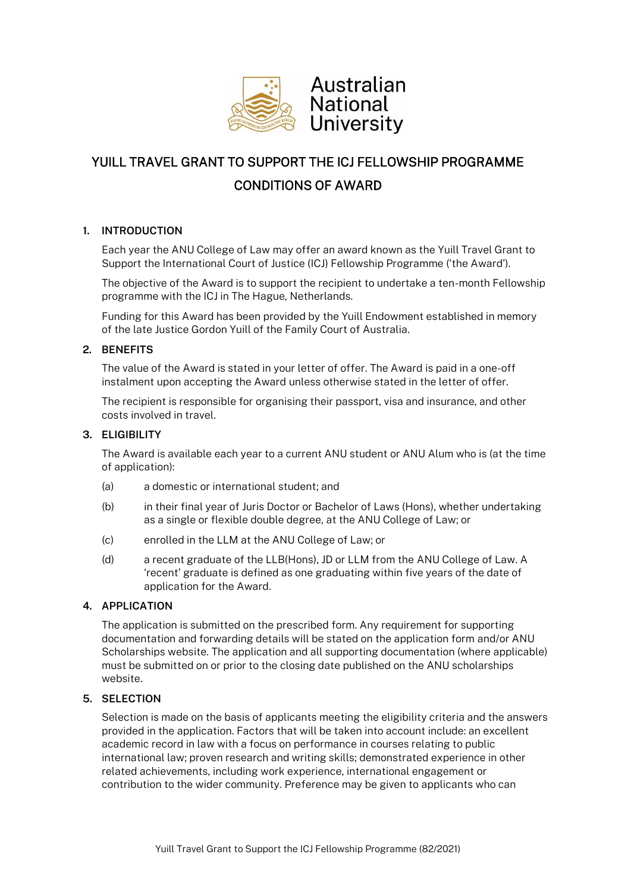

# YUILL TRAVEL GRANT TO SUPPORT THE ICJ FELLOWSHIP PROGRAMME CONDITIONS OF AWARD

## **1. INTRODUCTION**

Each year the ANU College of Law may offer an award known as the Yuill Travel Grant to Support the International Court of Justice (ICJ) Fellowship Programme ('the Award').

The objective of the Award is to support the recipient to undertake a ten-month Fellowship programme with the ICJ in The Hague, Netherlands.

Funding for this Award has been provided by the Yuill Endowment established in memory of the late Justice Gordon Yuill of the Family Court of Australia.

## **2. BENEFITS**

The value of the Award is stated in your letter of offer. The Award is paid in a one-off instalment upon accepting the Award unless otherwise stated in the letter of offer.

The recipient is responsible for organising their passport, visa and insurance, and other costs involved in travel.

## **3. ELIGIBILITY**

The Award is available each year to a current ANU student or ANU Alum who is (at the time of application):

- (a) a domestic or international student; and
- (b) in their final year of Juris Doctor or Bachelor of Laws (Hons), whether undertaking as a single or flexible double degree, at the ANU College of Law; or
- (c) enrolled in the LLM at the ANU College of Law; or
- (d) a recent graduate of the LLB(Hons), JD or LLM from the ANU College of Law. A 'recent' graduate is defined as one graduating within five years of the date of application for the Award.

## **4. APPLICATION**

The application is submitted on the prescribed form. Any requirement for supporting documentation and forwarding details will be stated on the application form and/or ANU Scholarships website. The application and all supporting documentation (where applicable) must be submitted on or prior to the closing date published on the ANU scholarships website.

## **5. SELECTION**

Selection is made on the basis of applicants meeting the eligibility criteria and the answers provided in the application. Factors that will be taken into account include: an excellent academic record in law with a focus on performance in courses relating to public international law; proven research and writing skills; demonstrated experience in other related achievements, including work experience, international engagement or contribution to the wider community. Preference may be given to applicants who can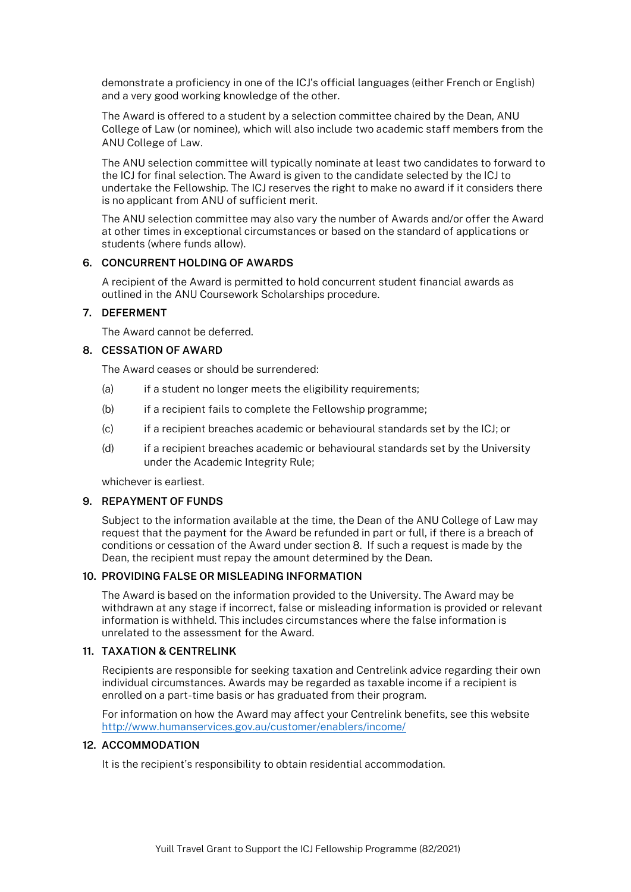demonstrate a proficiency in one of the ICJ's official languages (either French or English) and a very good working knowledge of the other.

The Award is offered to a student by a selection committee chaired by the Dean, ANU College of Law (or nominee), which will also include two academic staff members from the ANU College of Law.

The ANU selection committee will typically nominate at least two candidates to forward to the ICJ for final selection. The Award is given to the candidate selected by the ICJ to undertake the Fellowship. The ICJ reserves the right to make no award if it considers there is no applicant from ANU of sufficient merit.

The ANU selection committee may also vary the number of Awards and/or offer the Award at other times in exceptional circumstances or based on the standard of applications or students (where funds allow).

#### **6. CONCURRENT HOLDING OF AWARDS**

A recipient of the Award is permitted to hold concurrent student financial awards as outlined in the ANU Coursework Scholarships procedure.

## **7. DEFERMENT**

The Award cannot be deferred.

#### **8. CESSATION OF AWARD**

The Award ceases or should be surrendered:

- (a) if a student no longer meets the eligibility requirements;
- (b) if a recipient fails to complete the Fellowship programme;
- (c) if a recipient breaches academic or behavioural standards set by the ICJ; or
- (d) if a recipient breaches academic or behavioural standards set by the University under the Academic Integrity Rule;

whichever is earliest.

#### **9. REPAYMENT OF FUNDS**

Subject to the information available at the time, the Dean of the ANU College of Law may request that the payment for the Award be refunded in part or full, if there is a breach of conditions or cessation of the Award under section 8. If such a request is made by the Dean, the recipient must repay the amount determined by the Dean.

#### **10. PROVIDING FALSE OR MISLEADING INFORMATION**

The Award is based on the information provided to the University. The Award may be withdrawn at any stage if incorrect, false or misleading information is provided or relevant information is withheld. This includes circumstances where the false information is unrelated to the assessment for the Award.

## **11. TAXATION & CENTRELINK**

Recipients are responsible for seeking taxation and Centrelink advice regarding their own individual circumstances. Awards may be regarded as taxable income if a recipient is enrolled on a part-time basis or has graduated from their program.

For information on how the Award may affect your Centrelink benefits, see this website <http://www.humanservices.gov.au/customer/enablers/income/>

#### **12. ACCOMMODATION**

It is the recipient's responsibility to obtain residential accommodation.